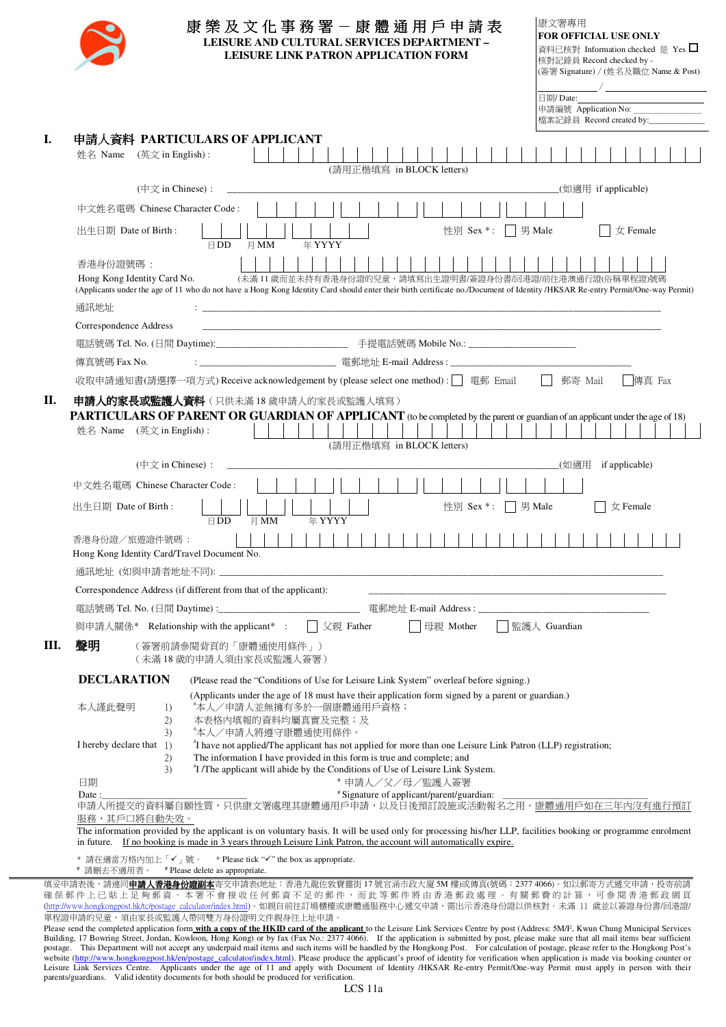|    | 康文署專用<br>康樂及文化事務署一康體通用戶申請表<br><b>FOR OFFICIAL USE ONLY</b><br>LEISURE AND CULTURAL SERVICES DEPARTMENT -<br>資料已核對 Information checked 是 Yes □<br>LEISURE LINK PATRON APPLICATION FORM<br>核對記錄員 Record checked by -<br>(簽署 Signature) / (姓名及職位 Name & Post)<br>日期/Date:                                                     |
|----|----------------------------------------------------------------------------------------------------------------------------------------------------------------------------------------------------------------------------------------------------------------------------------------------------------------------------|
|    | 申請編號 Application No:<br>檔案記錄員 Record created by:___________                                                                                                                                                                                                                                                                |
| I. | 申請人資料 PARTICULARS OF APPLICANT<br>姓名 Name (英文 in English):<br>(請用正楷填寫 in BLOCK letters)                                                                                                                                                                                                                                    |
|    | $(\nexists \overrightarrow{\chi}$ in Chinese) :<br>(如適用 if applicable)                                                                                                                                                                                                                                                     |
|    | 中文姓名電碼 Chinese Character Code:                                                                                                                                                                                                                                                                                             |
|    | 出生日期 Date of Birth :<br>性別 Sex *:     男 Male<br>女 Female<br>$\boxminus$ DD<br>月 MM<br>年 YYYY                                                                                                                                                                                                                               |
|    | 香港身份證號碼:<br>(未滿11歲而並未持有香港身份證的兒童,請填寫出生證明書/簽證身份書/回港證/前往港澳通行證(俗稱單程證)號碼<br>Hong Kong Identity Card No.<br>(Applicants under the age of 11 who do not have a Hong Kong Identity Card should enter their birth certificate no./Document of Identity/HKSAR Re-entry Permit/One-way Permit)<br>通訊地址                                |
|    | Correspondence Address<br><u> 1989 - Johann John Stoff, deutscher Stoff, der Stoff, der Stoff, der Stoff, der Stoff, der Stoff, der Stoff, </u>                                                                                                                                                                            |
|    |                                                                                                                                                                                                                                                                                                                            |
|    | 傳真號碼 Fax No.                                                                                                                                                                                                                                                                                                               |
|    | 收取申請通知書(請選擇一項方式) Receive acknowledgement by (please select one method) :   電郵 Email<br>傳真 Fax<br>郵寄 Mail                                                                                                                                                                                                                   |
|    | 姓名 Name (英文 in English):<br>(請用正楷填寫 in BLOCK letters)<br>$(\nexists \overrightarrow{\chi}$ in Chinese) :<br>(如適用<br>if applicable)                                                                                                                                                                                         |
|    | 中文姓名電碼 Chinese Character Code:                                                                                                                                                                                                                                                                                             |
|    | 出生日期 Date of Birth:<br>性別 Sex *:     男 Male<br>女 Female<br>年 YYYY<br>$\boxminus$ DD<br>月 MM                                                                                                                                                                                                                                |
|    | 香港身份證/旅遊證件號碼:<br>Hong Kong Identity Card/Travel Document No.                                                                                                                                                                                                                                                               |
|    |                                                                                                                                                                                                                                                                                                                            |
|    | Correspondence Address (if different from that of the applicant):<br><u> 1989 - Johann John Stone, markin fan it ferstjer fan it ferstjer fan it ferstjer fan it ferstjer fan it fers</u>                                                                                                                                  |
|    | 電話號碼 Tel. No. (日間 Daytime) :___________________________________                                                                                                                                                                                                                                                            |
|    | □ 監護人 Guardian<br>與申請人關係* Relationship with the applicant* :<br>    父親 Father<br>母親 Mother                                                                                                                                                                                                                                 |
| Ш. | 聲明<br>(簽署前請參閱背頁的「康體通使用條件」)<br>(未滿18歲的申請人須由家長或監護人簽署)                                                                                                                                                                                                                                                                        |
|    | <b>DECLARATION</b><br>(Please read the "Conditions of Use for Leisure Link System" overleaf before signing.)                                                                                                                                                                                                               |
|    | (Applicants under the age of 18 must have their application form signed by a parent or guardian.)<br>"本人/申請人並無擁有多於一個康體通用戶資格;<br>本人謹此聲明<br>1)<br>本表格内填報的資料均屬真實及完整;及<br>2)<br>*本人/申請人將遵守康體通使用條件。<br>3)                                                                                                                       |
|    | I hereby declare that 1)<br>"I have not applied/The applicant has not applied for more than one Leisure Link Patron (LLP) registration;<br>The information I have provided in this form is true and complete; and<br>2)<br><sup>#</sup> I /The applicant will abide by the Conditions of Use of Leisure Link System.<br>3) |
|    | 日期<br># 申請人/父/母/監護人簽署                                                                                                                                                                                                                                                                                                      |
|    | # Signature of applicant/parent/guardian:<br>Date :<br>申請人所提交的資料屬自願性質,只供康文署處理其康體通用戶申請,以及日後預訂設施或活動報名之用。康體通用戶如在三年內沒有進行預訂<br>服務,其戶口將自動失效。                                                                                                                                                                                     |
|    | The information provided by the applicant is on voluntary basis. It will be used only for processing his/her LLP, facilities booking or programme enrolment<br>in future. If no booking is made in 3 years through Leisure Link Patron, the account will automatically expire.                                             |
|    | * 請在適當方格內加上「✔」號。 * Please tick "√" the box as appropriate.                                                                                                                                                                                                                                                                 |

(http://www.hongkongpost.hk/tc/postage\_calculator/index.html)。如親自前往訂場櫃檯或康體通服務中心遞交申請,需出示香港身份證以供核對。未滿 11 歲並以簽證身份書/回港證/ 單程證申請的兒童,須由家長或監護人帶同雙方身份證明文件親身往上址申請。

Please send the completed application form **with a copy of the HKID card of the applicant** to the Leisure Link Services Centre by post (Address: 5M/F, Kwun Chung Municipal Services Building, 17 Bowring Street, Jordan, Kowloon, Hong Kong) or by fax (Fax No.: 2377 4066). If the application is submitted by post, please make sure that all mail items bear sufficient<br>postage. This Department will not accep website (http://www.hongkongpost.hk/en/postage\_calculator/index.html). Please produce the applicant's proof of identity for verification when application is made via booking counter or<br>Leisure Link Services Centre. Applica parents/guardians. Valid identity documents for both should be produced for verification.